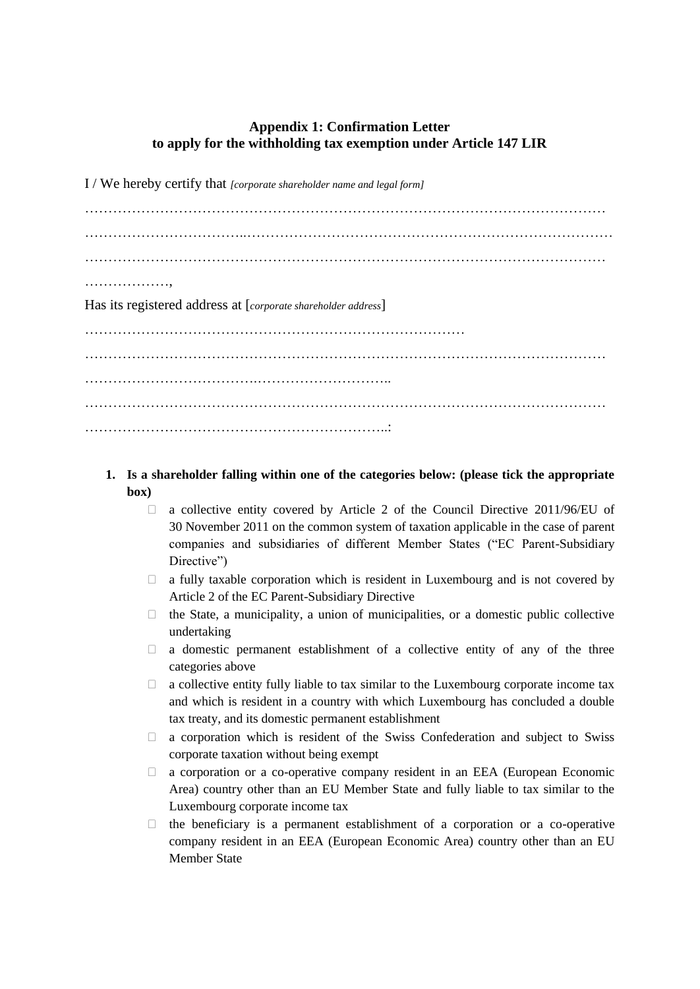## **Appendix 1: Confirmation Letter to apply for the withholding tax exemption under Article 147 LIR**

I / We hereby certify that *[corporate shareholder name and legal form]*

………………………………………………………………………………………………… ……………………………..…………………………………………………………………… ………………………………………………………………………………………………… ………………, Has its registered address at [*corporate shareholder address*] ……………………………………………………………………… ………………………………………………………………………………………………… ……………………………….……………………….. ………………………………………………………………………………………………… ………………………………………………………..:

- **1. Is a shareholder falling within one of the categories below: (please tick the appropriate box)**
	- $\Box$  a collective entity covered by Article 2 of the Council Directive 2011/96/EU of 30 November 2011 on the common system of taxation applicable in the case of parent companies and subsidiaries of different Member States ("EC Parent-Subsidiary Directive")
	- $\Box$  a fully taxable corporation which is resident in Luxembourg and is not covered by Article 2 of the EC Parent-Subsidiary Directive
	- $\Box$  the State, a municipality, a union of municipalities, or a domestic public collective undertaking
	- $\Box$  a domestic permanent establishment of a collective entity of any of the three categories above
	- $\Box$  a collective entity fully liable to tax similar to the Luxembourg corporate income tax and which is resident in a country with which Luxembourg has concluded a double tax treaty, and its domestic permanent establishment
	- $\Box$  a corporation which is resident of the Swiss Confederation and subject to Swiss corporate taxation without being exempt
	- a corporation or a co-operative company resident in an EEA (European Economic Area) country other than an EU Member State and fully liable to tax similar to the Luxembourg corporate income tax
	- $\Box$  the beneficiary is a permanent establishment of a corporation or a co-operative company resident in an EEA (European Economic Area) country other than an EU Member State